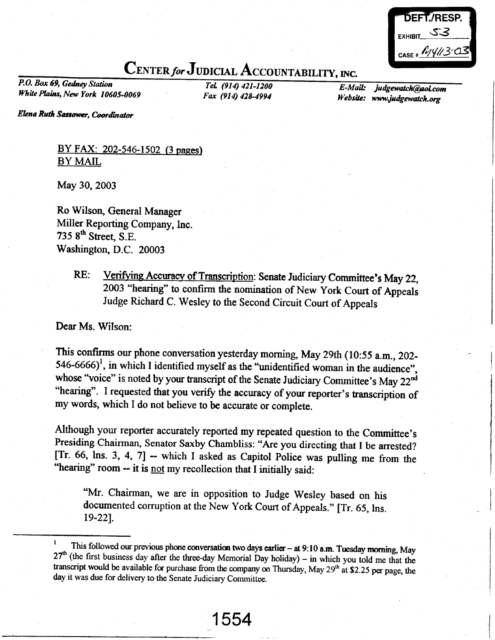| DEFT./RESP.           |  |
|-----------------------|--|
| EXHIBIT SI            |  |
| CASE # $\mu$ 14/13-03 |  |
|                       |  |

## CENTER for JUDICIAL ACCOUNTABILITY, INC.

P.O. Box 69, Gedney Stotion TeL (914) 421-1200 White Plains, New York 10605-0069 Fax (914) 428-4994

E-Mail: Website: www.judgewatch.org judgewatch@aol.com

Elena Ruth Sassower, Coordinator

BY FAX: 202-546-1502 (3 pages) BY MAIL

May 30, 2003

Ro Wilson, General Manager Miller Reporting Company, lnc. 735  $8<sup>th</sup>$  Street, S.E. Washington, D.C. 20003

> RE: Verifying Accuracy of Transcription: Senate Judiciary Committee's May 22, 2OO3 "hearing" to confirm the nomination of New York Court of Appeals Judge Richard C. Wesley to the Second Circuit Court of Appeals

Dear Ms. Wilson:

This confirms our phone conversation yesterday morning, May 29th (10:55 a.m., 202- $546-6666$ <sup>1</sup>, in which I identified myself as the "unidentified woman in the audience", whose "voice" is noted by your transcript of the Senate Judiciary Committee's May 22<sup>nd</sup> "hearing". I requested that you verify the accuracy of your reporter's transcription of my words, which I do not believe to be accurate or complete.

Although your reporter accurately reported my repeated question to the Committee's Presiding Chairman, Senator Saxby Chambliss: "Are you directing that I be arested? [Tr. 66, lns. 3, 4, 7] -- which I asked as Capitol Police was pulling me from the "hearing" room -- it is <u>not</u> my recollection that I initially said:

"Mr. Chairman, we are in opposition to Judge Wesley based on his documented corruption at the New York Court of Appeals." [Tr. 65, lns. 19-221.

<sup>&</sup>lt;sup>1</sup> This followed our previous phone conversation two days earlier – at 9:10 **a.m.** Tuesday morning, May  $27^{\text{th}}$  (the first business day after the three-day Memorial Day holiday) – in which you told me that the transcr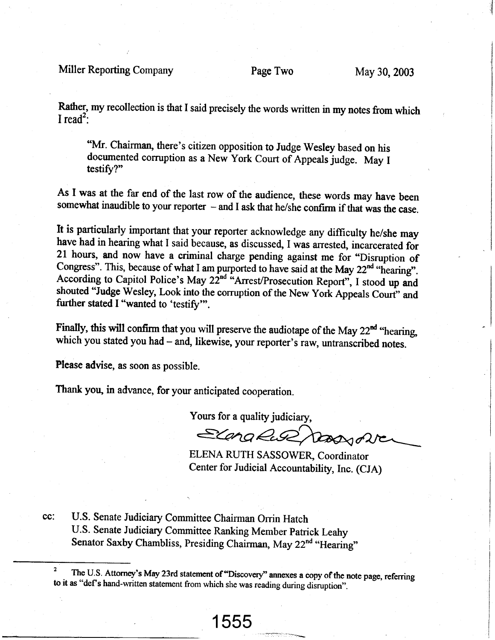Rather, my recollection is that I said precisely the words written in my notes from which I read<sup>2</sup>:

"Mr. Chairman, there's citizen opposition to Judge Wesley based on his documented corruption as a New York Court of Appeals judge. May I testify?"

As I was at the far end of the last row of the audience, these words may have been somewhat inaudible to your reporter  $-$  and I ask that he/she confirm if that was the case.

ft is particularly important that your reporter acknowledge any difficulty he/she may have had in hearing what I said because, as discussed, I was arrested, incarcerated for 21 hours, and now have a criminal charge pending against me for "Disruption of Congress". This, because of what I am purported to have said at the May 22 $^{nd}$  "hearing". According to Capitol Police's May  $22^{nd}$  "Arrest/Prosecution Report", I stood up and shouted "Judge Wesley, Look into the corruption of the New York Appeals Court" and further stated I "wanted to 'testify"'.

Finally, this will confirm that you will preserve the audiotape of the May  $22<sup>nd</sup>$  "hearing. which you stated you had  $-$  and, likewise, your reporter's raw, untranscribed notes.

Flease advise, as soon as possible.

Thank you, in advance, for your anticipated cooperation.

Yours for a quality judiciary,

Elang Ruse Dassyone

ELENA RUTH SASSOWER, Coordinator Center for Judicial Accountability, Inc. (CJA)

.<br>....<del>..........</del>...

cc: U.S. Senate Judiciary Committee Chairman Orrin Hatch U.S. Senate Judiciary Committee Ranking Member Patrick Leahy Senator Saxby Chambliss, Presiding Chairman, May 22<sup>nd</sup> "Hearing"

<sup>&</sup>lt;sup>2</sup> The U.S. Attorney's May 23rd statement of "Discovery" annexes a copy of the note page, referring to it as "def's hand-written statement from which she was reading during disruption".